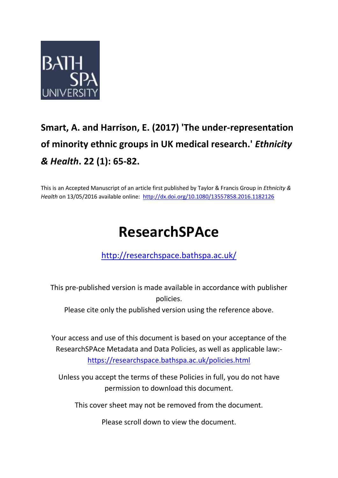

# **Smart, A. and Harrison, E. (2017) 'The under-representation of minority ethnic groups in UK medical research.'** *Ethnicity & Health***. 22 (1): 65-82.**

This is an Accepted Manuscript of an article first published by Taylor & Francis Group in *Ethnicity & Health* on 13/05/2016 available online:<http://dx.doi.org/10.1080/13557858.2016.1182126>

# **ResearchSPAce**

<http://researchspace.bathspa.ac.uk/>

This pre-published version is made available in accordance with publisher policies.

Please cite only the published version using the reference above.

Your access and use of this document is based on your acceptance of the ResearchSPAce Metadata and Data Policies, as well as applicable law: https://researchspace.bathspa.ac.uk/policies.html

Unless you accept the terms of these Policies in full, you do not have permission to download this document.

This cover sheet may not be removed from the document.

Please scroll down to view the document.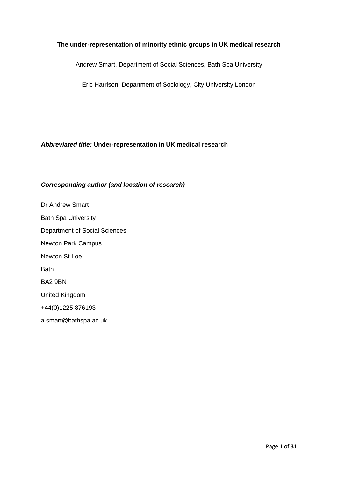# **The under-representation of minority ethnic groups in UK medical research**

Andrew Smart, Department of Social Sciences, Bath Spa University

Eric Harrison, Department of Sociology, City University London

# *Abbreviated title:* **Under-representation in UK medical research**

# *Corresponding author (and location of research)*

Dr Andrew Smart Bath Spa University Department of Social Sciences Newton Park Campus Newton St Loe Bath BA2 9BN United Kingdom +44(0)1225 876193 a.smart@bathspa.ac.uk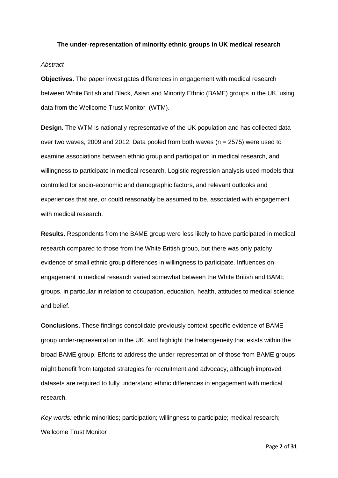#### **The under-representation of minority ethnic groups in UK medical research**

#### *Abstract*

**Objectives.** The paper investigates differences in engagement with medical research between White British and Black, Asian and Minority Ethnic (BAME) groups in the UK, using data from the Wellcome Trust Monitor (WTM).

**Design.** The WTM is nationally representative of the UK population and has collected data over two waves, 2009 and 2012. Data pooled from both waves ( $n = 2575$ ) were used to examine associations between ethnic group and participation in medical research, and willingness to participate in medical research. Logistic regression analysis used models that controlled for socio-economic and demographic factors, and relevant outlooks and experiences that are, or could reasonably be assumed to be, associated with engagement with medical research.

**Results.** Respondents from the BAME group were less likely to have participated in medical research compared to those from the White British group, but there was only patchy evidence of small ethnic group differences in willingness to participate. Influences on engagement in medical research varied somewhat between the White British and BAME groups, in particular in relation to occupation, education, health, attitudes to medical science and belief.

**Conclusions.** These findings consolidate previously context-specific evidence of BAME group under-representation in the UK, and highlight the heterogeneity that exists within the broad BAME group. Efforts to address the under-representation of those from BAME groups might benefit from targeted strategies for recruitment and advocacy, although improved datasets are required to fully understand ethnic differences in engagement with medical research.

*Key words:* ethnic minorities; participation; willingness to participate; medical research; Wellcome Trust Monitor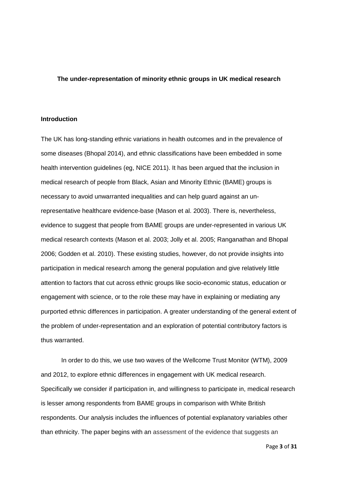#### **The under-representation of minority ethnic groups in UK medical research**

#### **Introduction**

The UK has long-standing ethnic variations in health outcomes and in the prevalence of some diseases (Bhopal 2014), and ethnic classifications have been embedded in some health intervention guidelines (eg, NICE 2011). It has been argued that the inclusion in medical research of people from Black, Asian and Minority Ethnic (BAME) groups is necessary to avoid unwarranted inequalities and can help guard against an unrepresentative healthcare evidence-base (Mason et al. 2003). There is, nevertheless, evidence to suggest that people from BAME groups are under-represented in various UK medical research contexts (Mason et al. 2003; Jolly et al. 2005; Ranganathan and Bhopal 2006; Godden et al. 2010). These existing studies, however, do not provide insights into participation in medical research among the general population and give relatively little attention to factors that cut across ethnic groups like socio-economic status, education or engagement with science, or to the role these may have in explaining or mediating any purported ethnic differences in participation. A greater understanding of the general extent of the problem of under-representation and an exploration of potential contributory factors is thus warranted.

In order to do this, we use two waves of the Wellcome Trust Monitor (WTM), 2009 and 2012, to explore ethnic differences in engagement with UK medical research. Specifically we consider if participation in, and willingness to participate in, medical research is lesser among respondents from BAME groups in comparison with White British respondents. Our analysis includes the influences of potential explanatory variables other than ethnicity. The paper begins with an assessment of the evidence that suggests an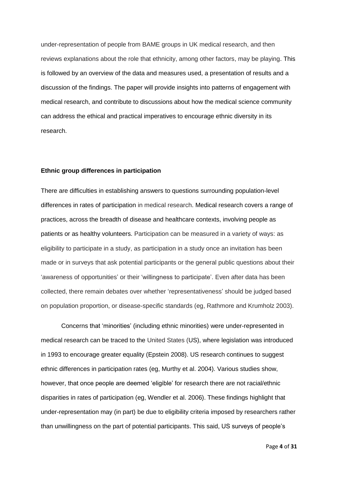under-representation of people from BAME groups in UK medical research, and then reviews explanations about the role that ethnicity, among other factors, may be playing. This is followed by an overview of the data and measures used, a presentation of results and a discussion of the findings. The paper will provide insights into patterns of engagement with medical research, and contribute to discussions about how the medical science community can address the ethical and practical imperatives to encourage ethnic diversity in its research.

### **Ethnic group differences in participation**

There are difficulties in establishing answers to questions surrounding population-level differences in rates of participation in medical research. Medical research covers a range of practices, across the breadth of disease and healthcare contexts, involving people as patients or as healthy volunteers. Participation can be measured in a variety of ways: as eligibility to participate in a study, as participation in a study once an invitation has been made or in surveys that ask potential participants or the general public questions about their 'awareness of opportunities' or their 'willingness to participate'. Even after data has been collected, there remain debates over whether 'representativeness' should be judged based on population proportion, or disease-specific standards (eg, Rathmore and Krumholz 2003).

Concerns that 'minorities' (including ethnic minorities) were under-represented in medical research can be traced to the United States (US), where legislation was introduced in 1993 to encourage greater equality (Epstein 2008). US research continues to suggest ethnic differences in participation rates (eg, Murthy et al. 2004). Various studies show, however, that once people are deemed 'eligible' for research there are not racial/ethnic disparities in rates of participation (eg, Wendler et al. 2006). These findings highlight that under-representation may (in part) be due to eligibility criteria imposed by researchers rather than unwillingness on the part of potential participants. This said, US surveys of people's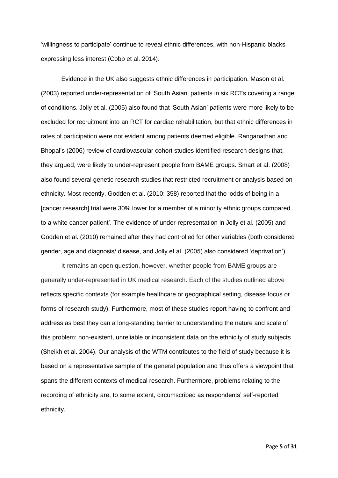'willingness to participate' continue to reveal ethnic differences, with non-Hispanic blacks expressing less interest (Cobb et al. 2014).

Evidence in the UK also suggests ethnic differences in participation. Mason et al. (2003) reported under-representation of 'South Asian' patients in six RCTs covering a range of conditions. Jolly et al. (2005) also found that 'South Asian' patients were more likely to be excluded for recruitment into an RCT for cardiac rehabilitation, but that ethnic differences in rates of participation were not evident among patients deemed eligible. Ranganathan and Bhopal's (2006) review of cardiovascular cohort studies identified research designs that, they argued, were likely to under-represent people from BAME groups. Smart et al. (2008) also found several genetic research studies that restricted recruitment or analysis based on ethnicity. Most recently, Godden et al. (2010: 358) reported that the 'odds of being in a [cancer research] trial were 30% lower for a member of a minority ethnic groups compared to a white cancer patient'. The evidence of under-representation in Jolly et al. (2005) and Godden et al. (2010) remained after they had controlled for other variables (both considered gender, age and diagnosis/ disease, and Jolly et al. (2005) also considered 'deprivation').

It remains an open question, however, whether people from BAME groups are generally under-represented in UK medical research. Each of the studies outlined above reflects specific contexts (for example healthcare or geographical setting, disease focus or forms of research study). Furthermore, most of these studies report having to confront and address as best they can a long-standing barrier to understanding the nature and scale of this problem: non-existent, unreliable or inconsistent data on the ethnicity of study subjects (Sheikh et al. 2004). Our analysis of the WTM contributes to the field of study because it is based on a representative sample of the general population and thus offers a viewpoint that spans the different contexts of medical research. Furthermore, problems relating to the recording of ethnicity are, to some extent, circumscribed as respondents' self-reported ethnicity.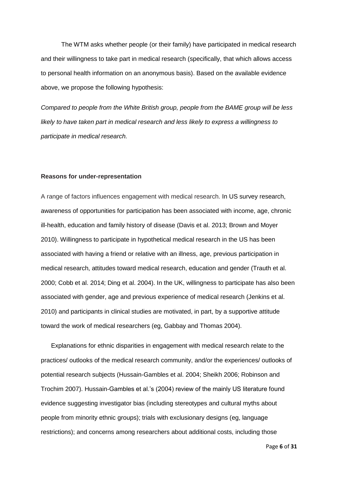The WTM asks whether people (or their family) have participated in medical research and their willingness to take part in medical research (specifically, that which allows access to personal health information on an anonymous basis). Based on the available evidence above, we propose the following hypothesis:

*Compared to people from the White British group, people from the BAME group will be less likely to have taken part in medical research and less likely to express a willingness to participate in medical research.* 

#### **Reasons for under-representation**

A range of factors influences engagement with medical research. In US survey research, awareness of opportunities for participation has been associated with income, age, chronic ill-health, education and family history of disease (Davis et al. 2013; Brown and Moyer 2010). Willingness to participate in hypothetical medical research in the US has been associated with having a friend or relative with an illness, age, previous participation in medical research, attitudes toward medical research, education and gender (Trauth et al. 2000; Cobb et al. 2014; Ding et al. 2004). In the UK, willingness to participate has also been associated with gender, age and previous experience of medical research (Jenkins et al. 2010) and participants in clinical studies are motivated, in part, by a supportive attitude toward the work of medical researchers (eg, Gabbay and Thomas 2004).

Explanations for ethnic disparities in engagement with medical research relate to the practices/ outlooks of the medical research community, and/or the experiences/ outlooks of potential research subjects (Hussain-Gambles et al. 2004; Sheikh 2006; Robinson and Trochim 2007). Hussain-Gambles et al.'s (2004) review of the mainly US literature found evidence suggesting investigator bias (including stereotypes and cultural myths about people from minority ethnic groups); trials with exclusionary designs (eg, language restrictions); and concerns among researchers about additional costs, including those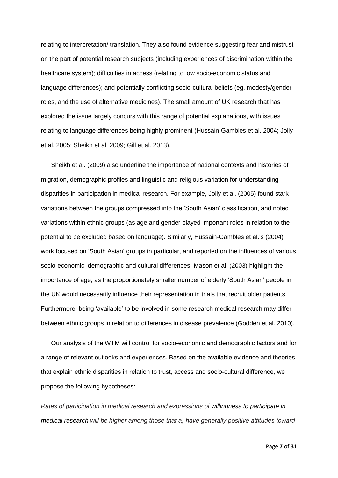relating to interpretation/ translation. They also found evidence suggesting fear and mistrust on the part of potential research subjects (including experiences of discrimination within the healthcare system); difficulties in access (relating to low socio-economic status and language differences); and potentially conflicting socio-cultural beliefs (eg, modesty/gender roles, and the use of alternative medicines). The small amount of UK research that has explored the issue largely concurs with this range of potential explanations, with issues relating to language differences being highly prominent (Hussain-Gambles et al. 2004; Jolly et al. 2005; Sheikh et al. 2009; Gill et al. 2013).

Sheikh et al. (2009) also underline the importance of national contexts and histories of migration, demographic profiles and linguistic and religious variation for understanding disparities in participation in medical research. For example, Jolly et al. (2005) found stark variations between the groups compressed into the 'South Asian' classification, and noted variations within ethnic groups (as age and gender played important roles in relation to the potential to be excluded based on language). Similarly, Hussain-Gambles et al.'s (2004) work focused on 'South Asian' groups in particular, and reported on the influences of various socio-economic, demographic and cultural differences. Mason et al. (2003) highlight the importance of age, as the proportionately smaller number of elderly 'South Asian' people in the UK would necessarily influence their representation in trials that recruit older patients. Furthermore, being 'available' to be involved in some research medical research may differ between ethnic groups in relation to differences in disease prevalence (Godden et al. 2010).

Our analysis of the WTM will control for socio-economic and demographic factors and for a range of relevant outlooks and experiences. Based on the available evidence and theories that explain ethnic disparities in relation to trust, access and socio-cultural difference, we propose the following hypotheses:

*Rates of participation in medical research and expressions of willingness to participate in medical research will be higher among those that a) have generally positive attitudes toward*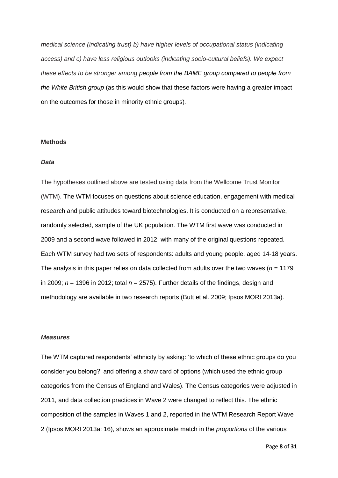*medical science (indicating trust) b) have higher levels of occupational status (indicating access) and c) have less religious outlooks (indicating socio-cultural beliefs). We expect these effects to be stronger among people from the BAME group compared to people from the White British group* (as this would show that these factors were having a greater impact on the outcomes for those in minority ethnic groups)*.* 

#### **Methods**

#### *Data*

The hypotheses outlined above are tested using data from the Wellcome Trust Monitor (WTM). The WTM focuses on questions about science education, engagement with medical research and public attitudes toward biotechnologies. It is conducted on a representative, randomly selected, sample of the UK population. The WTM first wave was conducted in 2009 and a second wave followed in 2012, with many of the original questions repeated. Each WTM survey had two sets of respondents: adults and young people, aged 14-18 years. The analysis in this paper relies on data collected from adults over the two waves (*n* = 1179 in 2009;  $n = 1396$  in 2012; total  $n = 2575$ ). Further details of the findings, design and methodology are available in two research reports (Butt et al. 2009; Ipsos MORI 2013a).

#### *Measures*

The WTM captured respondents' ethnicity by asking: 'to which of these ethnic groups do you consider you belong?' and offering a show card of options (which used the ethnic group categories from the Census of England and Wales). The Census categories were adjusted in 2011, and data collection practices in Wave 2 were changed to reflect this. The ethnic composition of the samples in Waves 1 and 2, reported in the WTM Research Report Wave 2 (Ipsos MORI 2013a: 16), shows an approximate match in the *proportions* of the various

Page **8** of **31**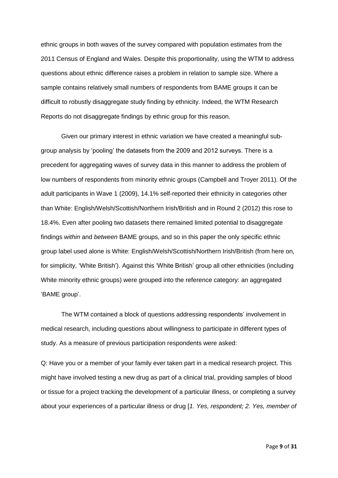ethnic groups in both waves of the survey compared with population estimates from the 2011 Census of England and Wales. Despite this proportionality, using the WTM to address questions about ethnic difference raises a problem in relation to sample size. Where a sample contains relatively small numbers of respondents from BAME groups it can be difficult to robustly disaggregate study finding by ethnicity. Indeed, the WTM Research Reports do not disaggregate findings by ethnic group for this reason.

Given our primary interest in ethnic variation we have created a meaningful subgroup analysis by 'pooling' the datasets from the 2009 and 2012 surveys. There is a precedent for aggregating waves of survey data in this manner to address the problem of low numbers of respondents from minority ethnic groups (Campbell and Troyer 2011). Of the adult participants in Wave 1 (2009), 14.1% self-reported their ethnicity in categories other than White: English/Welsh/Scottish/Northern Irish/British and in Round 2 (2012) this rose to 18.4%. Even after pooling two datasets there remained limited potential to disaggregate findings *within* and *between* BAME groups, and so in this paper the only specific ethnic group label used alone is White: English/Welsh/Scottish/Northern Irish/British (from here on, for simplicity, 'White British'). Against this 'White British' group all other ethnicities (including White minority ethnic groups) were grouped into the reference category: an aggregated 'BAME group'.

The WTM contained a block of questions addressing respondents' involvement in medical research, including questions about willingness to participate in different types of study. As a measure of previous participation respondents were asked:

Q: Have you or a member of your family ever taken part in a medical research project. This might have involved testing a new drug as part of a clinical trial, providing samples of blood or tissue for a project tracking the development of a particular illness, or completing a survey about your experiences of a particular illness or drug [*1. Yes, respondent; 2. Yes, member of*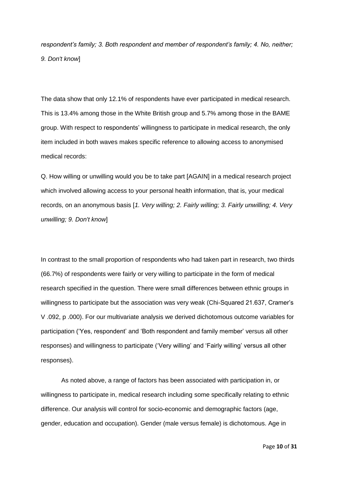*respondent's family; 3. Both respondent and member of respondent's family; 4. No, neither; 9. Don't know*]

The data show that only 12.1% of respondents have ever participated in medical research. This is 13.4% among those in the White British group and 5.7% among those in the BAME group. With respect to respondents' willingness to participate in medical research, the only item included in both waves makes specific reference to allowing access to anonymised medical records:

Q. How willing or unwilling would you be to take part [AGAIN] in a medical research project which involved allowing access to your personal health information, that is, your medical records, on an anonymous basis [*1. Very willing; 2. Fairly willing; 3. Fairly unwilling; 4. Very unwilling; 9. Don't know*]

In contrast to the small proportion of respondents who had taken part in research, two thirds (66.7%) of respondents were fairly or very willing to participate in the form of medical research specified in the question. There were small differences between ethnic groups in willingness to participate but the association was very weak (Chi-Squared 21.637, Cramer's V .092, p .000). For our multivariate analysis we derived dichotomous outcome variables for participation ('Yes, respondent' and 'Both respondent and family member' versus all other responses) and willingness to participate ('Very willing' and 'Fairly willing' versus all other responses).

As noted above, a range of factors has been associated with participation in, or willingness to participate in, medical research including some specifically relating to ethnic difference. Our analysis will control for socio-economic and demographic factors (age, gender, education and occupation). Gender (male versus female) is dichotomous. Age in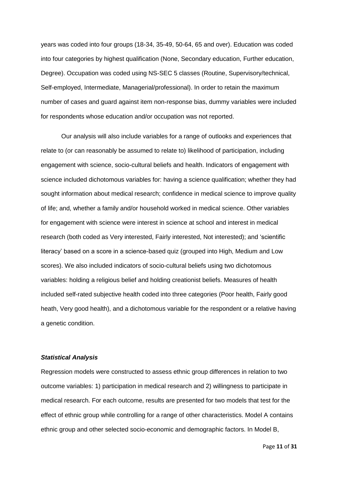years was coded into four groups (18-34, 35-49, 50-64, 65 and over). Education was coded into four categories by highest qualification (None, Secondary education, Further education, Degree). Occupation was coded using NS-SEC 5 classes (Routine, Supervisory/technical, Self-employed, Intermediate, Managerial/professional). In order to retain the maximum number of cases and guard against item non-response bias, dummy variables were included for respondents whose education and/or occupation was not reported.

Our analysis will also include variables for a range of outlooks and experiences that relate to (or can reasonably be assumed to relate to) likelihood of participation, including engagement with science, socio-cultural beliefs and health. Indicators of engagement with science included dichotomous variables for: having a science qualification; whether they had sought information about medical research; confidence in medical science to improve quality of life; and, whether a family and/or household worked in medical science. Other variables for engagement with science were interest in science at school and interest in medical research (both coded as Very interested, Fairly interested, Not interested); and 'scientific literacy' based on a score in a science-based quiz (grouped into High, Medium and Low scores). We also included indicators of socio-cultural beliefs using two dichotomous variables: holding a religious belief and holding creationist beliefs. Measures of health included self-rated subjective health coded into three categories (Poor health, Fairly good heath, Very good health), and a dichotomous variable for the respondent or a relative having a genetic condition.

#### *Statistical Analysis*

Regression models were constructed to assess ethnic group differences in relation to two outcome variables: 1) participation in medical research and 2) willingness to participate in medical research. For each outcome, results are presented for two models that test for the effect of ethnic group while controlling for a range of other characteristics. Model A contains ethnic group and other selected socio-economic and demographic factors. In Model B,

Page **11** of **31**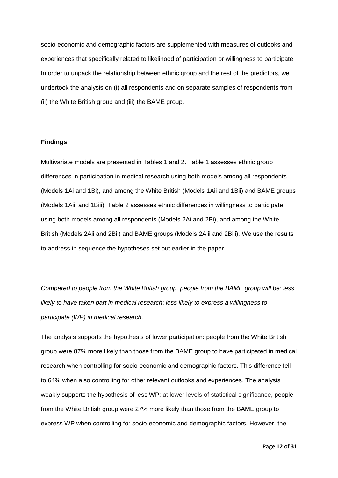socio-economic and demographic factors are supplemented with measures of outlooks and experiences that specifically related to likelihood of participation or willingness to participate. In order to unpack the relationship between ethnic group and the rest of the predictors, we undertook the analysis on (i) all respondents and on separate samples of respondents from (ii) the White British group and (iii) the BAME group.

# **Findings**

Multivariate models are presented in Tables 1 and 2. Table 1 assesses ethnic group differences in participation in medical research using both models among all respondents (Models 1Ai and 1Bi), and among the White British (Models 1Aii and 1Bii) and BAME groups (Models 1Aiii and 1Biii). Table 2 assesses ethnic differences in willingness to participate using both models among all respondents (Models 2Ai and 2Bi), and among the White British (Models 2Aii and 2Bii) and BAME groups (Models 2Aiii and 2Biii). We use the results to address in sequence the hypotheses set out earlier in the paper.

*Compared to people from the White British group, people from the BAME group will be: less likely to have taken part in medical research*; *less likely to express a willingness to participate (WP) in medical research.*

The analysis supports the hypothesis of lower participation: people from the White British group were 87% more likely than those from the BAME group to have participated in medical research when controlling for socio-economic and demographic factors. This difference fell to 64% when also controlling for other relevant outlooks and experiences. The analysis weakly supports the hypothesis of less WP: at lower levels of statistical significance, people from the White British group were 27% more likely than those from the BAME group to express WP when controlling for socio-economic and demographic factors. However, the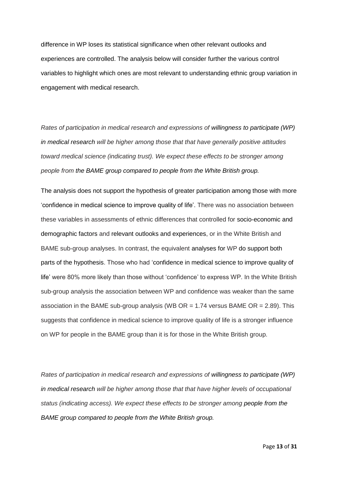difference in WP loses its statistical significance when other relevant outlooks and experiences are controlled. The analysis below will consider further the various control variables to highlight which ones are most relevant to understanding ethnic group variation in engagement with medical research.

*Rates of participation in medical research and expressions of willingness to participate (WP) in medical research will be higher among those that that have generally positive attitudes toward medical science (indicating trust). We expect these effects to be stronger among people from the BAME group compared to people from the White British group.*

The analysis does not support the hypothesis of greater participation among those with more 'confidence in medical science to improve quality of life'. There was no association between these variables in assessments of ethnic differences that controlled for socio-economic and demographic factors and relevant outlooks and experiences, or in the White British and BAME sub-group analyses. In contrast, the equivalent analyses for WP do support both parts of the hypothesis. Those who had 'confidence in medical science to improve quality of life' were 80% more likely than those without 'confidence' to express WP. In the White British sub-group analysis the association between WP and confidence was weaker than the same association in the BAME sub-group analysis (WB  $OR = 1.74$  versus BAME  $OR = 2.89$ ). This suggests that confidence in medical science to improve quality of life is a stronger influence on WP for people in the BAME group than it is for those in the White British group.

*Rates of participation in medical research and expressions of willingness to participate (WP) in medical research will be higher among those that that have higher levels of occupational status (indicating access). We expect these effects to be stronger among people from the BAME group compared to people from the White British group.*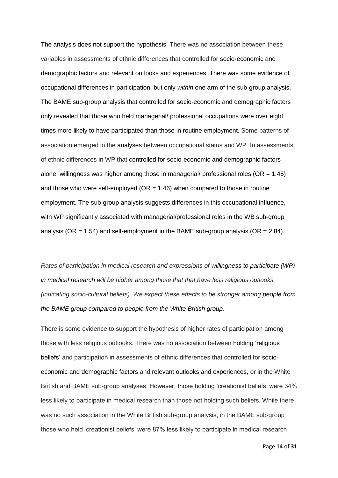The analysis does not support the hypothesis. There was no association between these variables in assessments of ethnic differences that controlled for socio-economic and demographic factors and relevant outlooks and experiences. There was some evidence of occupational differences in participation, but only *within* one arm of the sub-group analysis. The BAME sub-group analysis that controlled for socio-economic and demographic factors only revealed that those who held managerial/ professional occupations were over eight times more likely to have participated than those in routine employment. Some patterns of association emerged in the analyses between occupational status and WP. In assessments of ethnic differences in WP that controlled for socio-economic and demographic factors alone, willingness was higher among those in managerial/ professional roles ( $OR = 1.45$ ) and those who were self-employed ( $OR = 1.46$ ) when compared to those in routine employment. The sub-group analysis suggests differences in this occupational influence, with WP significantly associated with managerial/professional roles in the WB sub-group analysis (OR =  $1.54$ ) and self-employment in the BAME sub-group analysis (OR =  $2.84$ ).

*Rates of participation in medical research and expressions of willingness to participate (WP) in medical research will be higher among those that that have less religious outlooks (indicating socio-cultural beliefs). We expect these effects to be stronger among people from the BAME group compared to people from the White British group.*

There is some evidence to support the hypothesis of higher rates of participation among those with less religious outlooks. There was no association between holding 'religious beliefs' and participation in assessments of ethnic differences that controlled for socioeconomic and demographic factors and relevant outlooks and experiences, or in the White British and BAME sub-group analyses. However, those holding 'creationist beliefs' were 34% less likely to participate in medical research than those not holding such beliefs. While there was no such association in the White British sub-group analysis, in the BAME sub-group those who held 'creationist beliefs' were 87% less likely to participate in medical research

Page **14** of **31**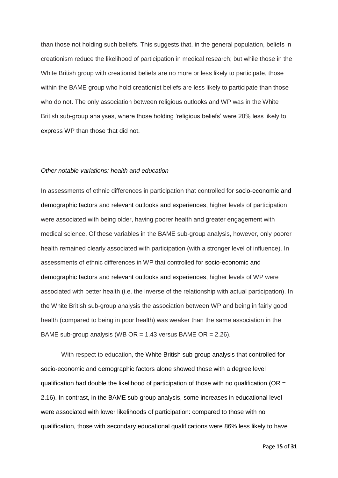than those not holding such beliefs. This suggests that, in the general population, beliefs in creationism reduce the likelihood of participation in medical research; but while those in the White British group with creationist beliefs are no more or less likely to participate, those within the BAME group who hold creationist beliefs are less likely to participate than those who do not. The only association between religious outlooks and WP was in the White British sub-group analyses, where those holding 'religious beliefs' were 20% less likely to express WP than those that did not.

#### *Other notable variations: health and education*

In assessments of ethnic differences in participation that controlled for socio-economic and demographic factors and relevant outlooks and experiences, higher levels of participation were associated with being older, having poorer health and greater engagement with medical science. Of these variables in the BAME sub-group analysis, however, only poorer health remained clearly associated with participation (with a stronger level of influence). In assessments of ethnic differences in WP that controlled for socio-economic and demographic factors and relevant outlooks and experiences, higher levels of WP were associated with better health (i.e. the inverse of the relationship with actual participation). In the White British sub-group analysis the association between WP and being in fairly good health (compared to being in poor health) was weaker than the same association in the BAME sub-group analysis (WB OR =  $1.43$  versus BAME OR =  $2.26$ ).

With respect to education, the White British sub-group analysis that controlled for socio-economic and demographic factors alone showed those with a degree level qualification had double the likelihood of participation of those with no qualification ( $OR =$ 2.16). In contrast, in the BAME sub-group analysis, some increases in educational level were associated with lower likelihoods of participation: compared to those with no qualification, those with secondary educational qualifications were 86% less likely to have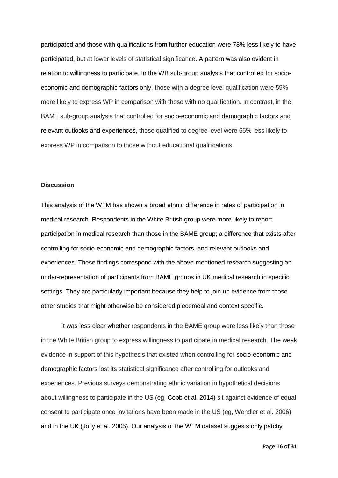participated and those with qualifications from further education were 78% less likely to have participated, but at lower levels of statistical significance. A pattern was also evident in relation to willingness to participate. In the WB sub-group analysis that controlled for socioeconomic and demographic factors only, those with a degree level qualification were 59% more likely to express WP in comparison with those with no qualification. In contrast, in the BAME sub-group analysis that controlled for socio-economic and demographic factors and relevant outlooks and experiences, those qualified to degree level were 66% less likely to express WP in comparison to those without educational qualifications.

#### **Discussion**

This analysis of the WTM has shown a broad ethnic difference in rates of participation in medical research. Respondents in the White British group were more likely to report participation in medical research than those in the BAME group; a difference that exists after controlling for socio-economic and demographic factors, and relevant outlooks and experiences. These findings correspond with the above-mentioned research suggesting an under-representation of participants from BAME groups in UK medical research in specific settings. They are particularly important because they help to join up evidence from those other studies that might otherwise be considered piecemeal and context specific.

It was less clear whether respondents in the BAME group were less likely than those in the White British group to express willingness to participate in medical research. The weak evidence in support of this hypothesis that existed when controlling for socio-economic and demographic factors lost its statistical significance after controlling for outlooks and experiences. Previous surveys demonstrating ethnic variation in hypothetical decisions about willingness to participate in the US (eg, Cobb et al. 2014) sit against evidence of equal consent to participate once invitations have been made in the US (eg, Wendler et al. 2006) and in the UK (Jolly et al. 2005). Our analysis of the WTM dataset suggests only patchy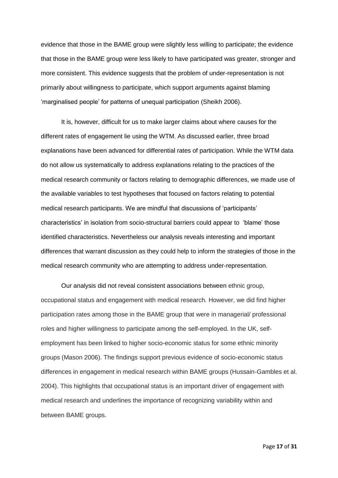evidence that those in the BAME group were slightly less willing to participate; the evidence that those in the BAME group were less likely to have participated was greater, stronger and more consistent. This evidence suggests that the problem of under-representation is not primarily about willingness to participate, which support arguments against blaming 'marginalised people' for patterns of unequal participation (Sheikh 2006).

It is, however, difficult for us to make larger claims about where causes for the different rates of engagement lie using the WTM. As discussed earlier, three broad explanations have been advanced for differential rates of participation. While the WTM data do not allow us systematically to address explanations relating to the practices of the medical research community or factors relating to demographic differences, we made use of the available variables to test hypotheses that focused on factors relating to potential medical research participants. We are mindful that discussions of 'participants' characteristics' in isolation from socio-structural barriers could appear to 'blame' those identified characteristics. Nevertheless our analysis reveals interesting and important differences that warrant discussion as they could help to inform the strategies of those in the medical research community who are attempting to address under-representation.

Our analysis did not reveal consistent associations between ethnic group, occupational status and engagement with medical research. However, we did find higher participation rates among those in the BAME group that were in managerial/ professional roles and higher willingness to participate among the self-employed. In the UK, selfemployment has been linked to higher socio-economic status for some ethnic minority groups (Mason 2006). The findings support previous evidence of socio-economic status differences in engagement in medical research within BAME groups (Hussain-Gambles et al. 2004). This highlights that occupational status is an important driver of engagement with medical research and underlines the importance of recognizing variability within and between BAME groups.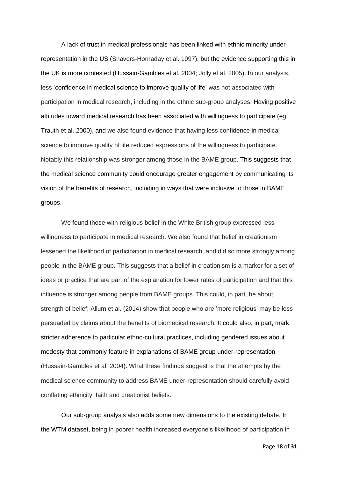A lack of trust in medical professionals has been linked with ethnic minority underrepresentation in the US (Shavers-Hornaday et al. 1997), but the evidence supporting this in the UK is more contested (Hussain-Gambles et al. 2004; Jolly et al. 2005). In our analysis, less 'confidence in medical science to improve quality of life' was not associated with participation in medical research, including in the ethnic sub-group analyses. Having positive attitudes toward medical research has been associated with willingness to participate (eg, Trauth et al. 2000), and we also found evidence that having less confidence in medical science to improve quality of life reduced expressions of the willingness to participate. Notably this relationship was stronger among those in the BAME group. This suggests that the medical science community could encourage greater engagement by communicating its vision of the benefits of research, including in ways that were inclusive to those in BAME groups.

We found those with religious belief in the White British group expressed less willingness to participate in medical research. We also found that belief in creationism lessened the likelihood of participation in medical research, and did so more strongly among people in the BAME group. This suggests that a belief in creationism is a marker for a set of ideas or practice that are part of the explanation for lower rates of participation and that this influence is stronger among people from BAME groups. This could, in part, be about strength of belief; Allum et al. (2014) show that people who are 'more religious' may be less persuaded by claims about the benefits of biomedical research. It could also, in part, mark stricter adherence to particular ethno-cultural practices, including gendered issues about modesty that commonly feature in explanations of BAME group under-representation (Hussain-Gambles et al. 2004). What these findings suggest is that the attempts by the medical science community to address BAME under-representation should carefully avoid conflating ethnicity, faith and creationist beliefs.

Our sub-group analysis also adds some new dimensions to the existing debate. In the WTM dataset, being in poorer health increased everyone's likelihood of participation in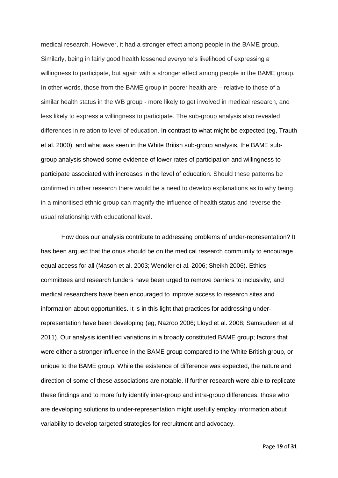medical research. However, it had a stronger effect among people in the BAME group. Similarly, being in fairly good health lessened everyone's likelihood of expressing a willingness to participate, but again with a stronger effect among people in the BAME group. In other words, those from the BAME group in poorer health are – relative to those of a similar health status in the WB group - more likely to get involved in medical research, and less likely to express a willingness to participate. The sub-group analysis also revealed differences in relation to level of education. In contrast to what might be expected (eg, Trauth et al. 2000), and what was seen in the White British sub-group analysis, the BAME subgroup analysis showed some evidence of lower rates of participation and willingness to participate associated with increases in the level of education. Should these patterns be confirmed in other research there would be a need to develop explanations as to why being in a minoritised ethnic group can magnify the influence of health status and reverse the usual relationship with educational level.

How does our analysis contribute to addressing problems of under-representation? It has been argued that the onus should be on the medical research community to encourage equal access for all (Mason et al. 2003; Wendler et al. 2006; Sheikh 2006). Ethics committees and research funders have been urged to remove barriers to inclusivity, and medical researchers have been encouraged to improve access to research sites and information about opportunities. It is in this light that practices for addressing underrepresentation have been developing (eg, Nazroo 2006; Lloyd et al. 2008; Samsudeen et al. 2011). Our analysis identified variations in a broadly constituted BAME group; factors that were either a stronger influence in the BAME group compared to the White British group, or unique to the BAME group. While the existence of difference was expected, the nature and direction of some of these associations are notable. If further research were able to replicate these findings and to more fully identify inter-group and intra-group differences, those who are developing solutions to under-representation might usefully employ information about variability to develop targeted strategies for recruitment and advocacy.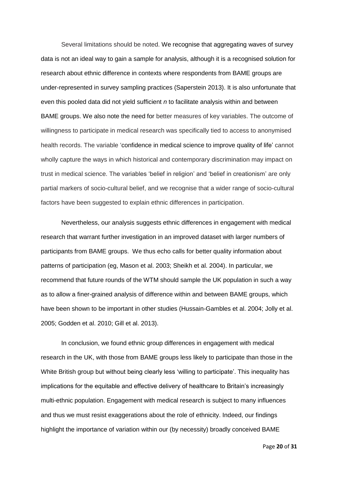Several limitations should be noted. We recognise that aggregating waves of survey data is not an ideal way to gain a sample for analysis, although it is a recognised solution for research about ethnic difference in contexts where respondents from BAME groups are under-represented in survey sampling practices (Saperstein 2013). It is also unfortunate that even this pooled data did not yield sufficient *n* to facilitate analysis within and between BAME groups. We also note the need for better measures of key variables. The outcome of willingness to participate in medical research was specifically tied to access to anonymised health records. The variable 'confidence in medical science to improve quality of life' cannot wholly capture the ways in which historical and contemporary discrimination may impact on trust in medical science. The variables 'belief in religion' and 'belief in creationism' are only partial markers of socio-cultural belief, and we recognise that a wider range of socio-cultural factors have been suggested to explain ethnic differences in participation.

Nevertheless, our analysis suggests ethnic differences in engagement with medical research that warrant further investigation in an improved dataset with larger numbers of participants from BAME groups. We thus echo calls for better quality information about patterns of participation (eg, Mason et al. 2003; Sheikh et al. 2004). In particular, we recommend that future rounds of the WTM should sample the UK population in such a way as to allow a finer-grained analysis of difference within and between BAME groups, which have been shown to be important in other studies (Hussain-Gambles et al. 2004; Jolly et al. 2005; Godden et al. 2010; Gill et al. 2013).

In conclusion, we found ethnic group differences in engagement with medical research in the UK, with those from BAME groups less likely to participate than those in the White British group but without being clearly less 'willing to participate'. This inequality has implications for the equitable and effective delivery of healthcare to Britain's increasingly multi-ethnic population. Engagement with medical research is subject to many influences and thus we must resist exaggerations about the role of ethnicity. Indeed, our findings highlight the importance of variation within our (by necessity) broadly conceived BAME

Page **20** of **31**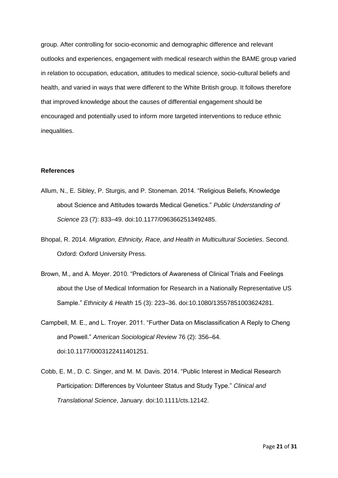group. After controlling for socio-economic and demographic difference and relevant outlooks and experiences, engagement with medical research within the BAME group varied in relation to occupation, education, attitudes to medical science, socio-cultural beliefs and health, and varied in ways that were different to the White British group. It follows therefore that improved knowledge about the causes of differential engagement should be encouraged and potentially used to inform more targeted interventions to reduce ethnic inequalities.

# **References**

- Allum, N., E. Sibley, P. Sturgis, and P. Stoneman. 2014. "Religious Beliefs, Knowledge about Science and Attitudes towards Medical Genetics." *Public Understanding of Science* 23 (7): 833–49. doi:10.1177/0963662513492485.
- Bhopal, R. 2014. *Migration, Ethnicity, Race, and Health in Multicultural Societies*. Second. Oxford: Oxford University Press.
- Brown, M., and A. Moyer. 2010. "Predictors of Awareness of Clinical Trials and Feelings about the Use of Medical Information for Research in a Nationally Representative US Sample." *Ethnicity & Health* 15 (3): 223–36. doi:10.1080/13557851003624281.
- Campbell, M. E., and L. Troyer. 2011. "Further Data on Misclassification A Reply to Cheng and Powell." *American Sociological Review* 76 (2): 356–64. doi:10.1177/0003122411401251.
- Cobb, E. M., D. C. Singer, and M. M. Davis. 2014. "Public Interest in Medical Research Participation: Differences by Volunteer Status and Study Type." *Clinical and Translational Science*, January. doi:10.1111/cts.12142.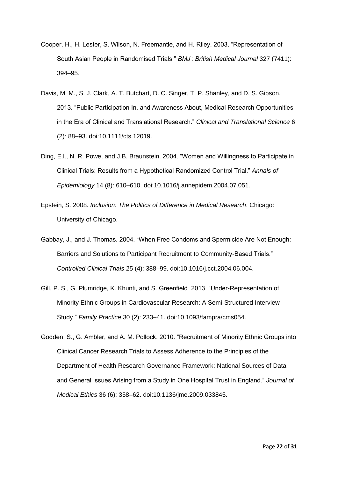- Cooper, H., H. Lester, S. Wilson, N. Freemantle, and H. Riley. 2003. "Representation of South Asian People in Randomised Trials." *BMJ : British Medical Journal* 327 (7411): 394–95.
- Davis, M. M., S. J. Clark, A. T. Butchart, D. C. Singer, T. P. Shanley, and D. S. Gipson. 2013. "Public Participation In, and Awareness About, Medical Research Opportunities in the Era of Clinical and Translational Research." *Clinical and Translational Science* 6 (2): 88–93. doi:10.1111/cts.12019.
- Ding, E.l., N. R. Powe, and J.B. Braunstein. 2004. "Women and Willingness to Participate in Clinical Trials: Results from a Hypothetical Randomized Control Trial." *Annals of Epidemiology* 14 (8): 610–610. doi:10.1016/j.annepidem.2004.07.051.
- Epstein, S. 2008. *Inclusion: The Politics of Difference in Medical Research*. Chicago: University of Chicago.
- Gabbay, J., and J. Thomas. 2004. "When Free Condoms and Spermicide Are Not Enough: Barriers and Solutions to Participant Recruitment to Community-Based Trials." *Controlled Clinical Trials* 25 (4): 388–99. doi:10.1016/j.cct.2004.06.004.
- Gill, P. S., G. Plumridge, K. Khunti, and S. Greenfield. 2013. "Under-Representation of Minority Ethnic Groups in Cardiovascular Research: A Semi-Structured Interview Study." *Family Practice* 30 (2): 233–41. doi:10.1093/fampra/cms054.
- Godden, S., G. Ambler, and A. M. Pollock. 2010. "Recruitment of Minority Ethnic Groups into Clinical Cancer Research Trials to Assess Adherence to the Principles of the Department of Health Research Governance Framework: National Sources of Data and General Issues Arising from a Study in One Hospital Trust in England." *Journal of Medical Ethics* 36 (6): 358–62. doi:10.1136/jme.2009.033845.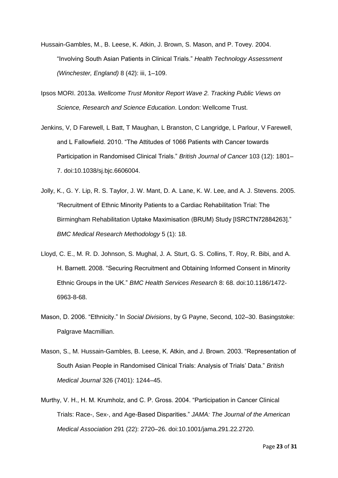- Hussain-Gambles, M., B. Leese, K. Atkin, J. Brown, S. Mason, and P. Tovey. 2004. "Involving South Asian Patients in Clinical Trials." *Health Technology Assessment (Winchester, England)* 8 (42): iii, 1–109.
- Ipsos MORI. 2013a. *Wellcome Trust Monitor Report Wave 2. Tracking Public Views on Science, Research and Science Education*. London: Wellcome Trust.
- Jenkins, V, D Farewell, L Batt, T Maughan, L Branston, C Langridge, L Parlour, V Farewell, and L Fallowfield. 2010. "The Attitudes of 1066 Patients with Cancer towards Participation in Randomised Clinical Trials." *British Journal of Cancer* 103 (12): 1801– 7. doi:10.1038/sj.bjc.6606004.
- Jolly, K., G. Y. Lip, R. S. Taylor, J. W. Mant, D. A. Lane, K. W. Lee, and A. J. Stevens. 2005. "Recruitment of Ethnic Minority Patients to a Cardiac Rehabilitation Trial: The Birmingham Rehabilitation Uptake Maximisation (BRUM) Study [ISRCTN72884263]." *BMC Medical Research Methodology* 5 (1): 18.
- Lloyd, C. E., M. R. D. Johnson, S. Mughal, J. A. Sturt, G. S. Collins, T. Roy, R. Bibi, and A. H. Barnett. 2008. "Securing Recruitment and Obtaining Informed Consent in Minority Ethnic Groups in the UK." *BMC Health Services Research* 8: 68. doi:10.1186/1472- 6963-8-68.
- Mason, D. 2006. "Ethnicity." In *Social Divisions*, by G Payne, Second, 102–30. Basingstoke: Palgrave Macmillian.
- Mason, S., M. Hussain-Gambles, B. Leese, K. Atkin, and J. Brown. 2003. "Representation of South Asian People in Randomised Clinical Trials: Analysis of Trials' Data." *British Medical Journal* 326 (7401): 1244–45.
- Murthy, V. H., H. M. Krumholz, and C. P. Gross. 2004. "Participation in Cancer Clinical Trials: Race-, Sex-, and Age-Based Disparities." *JAMA: The Journal of the American Medical Association* 291 (22): 2720–26. doi:10.1001/jama.291.22.2720.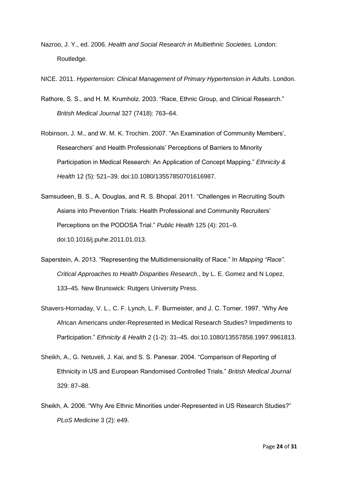Nazroo, J. Y., ed. 2006. *Health and Social Research in Multiethnic Societies.* London: Routledge.

NICE. 2011. *Hypertension: Clinical Management of Primary Hypertension in Adults*. London.

- Rathore, S. S., and H. M. Krumholz. 2003. "Race, Ethnic Group, and Clinical Research." *British Medical Journal* 327 (7418): 763–64.
- Robinson, J. M., and W. M. K. Trochim. 2007. "An Examination of Community Members', Researchers' and Health Professionals' Perceptions of Barriers to Minority Participation in Medical Research: An Application of Concept Mapping." *Ethnicity & Health* 12 (5): 521–39. doi:10.1080/13557850701616987.
- Samsudeen, B. S., A. Douglas, and R. S. Bhopal. 2011. "Challenges in Recruiting South Asians into Prevention Trials: Health Professional and Community Recruiters' Perceptions on the PODOSA Trial." *Public Health* 125 (4): 201–9. doi:10.1016/j.puhe.2011.01.013.
- Saperstein, A. 2013. "Representing the Multidimensionality of Race." In *Mapping "Race". Critical Approaches to Health Disparities Research.*, by L. E. Gomez and N Lopez, 133–45. New Brunswick: Rutgers University Press.
- Shavers-Hornaday, V. L., C. F. Lynch, L. F. Burmeister, and J. C. Torner. 1997. "Why Are African Americans under-Represented in Medical Research Studies? Impediments to Participation." *Ethnicity & Health* 2 (1-2): 31–45. doi:10.1080/13557858.1997.9961813.
- Sheikh, A., G. Netuveli, J. Kai, and S. S. Panesar. 2004. "Comparison of Reporting of Ethnicity in US and European Randomised Controlled Trials." *British Medical Journal* 329: 87–88.
- Sheikh, A. 2006. "Why Are Ethnic Minorities under-Represented in US Research Studies?" *PLoS Medicine* 3 (2): e49.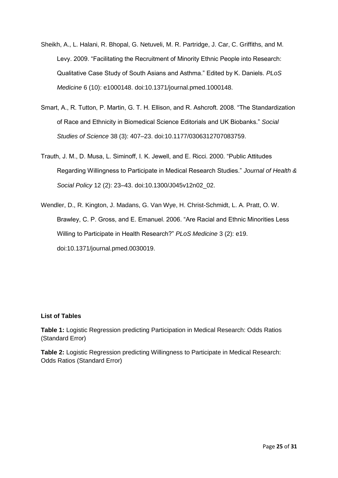- Sheikh, A., L. Halani, R. Bhopal, G. Netuveli, M. R. Partridge, J. Car, C. Griffiths, and M. Levy. 2009. "Facilitating the Recruitment of Minority Ethnic People into Research: Qualitative Case Study of South Asians and Asthma." Edited by K. Daniels. *PLoS Medicine* 6 (10): e1000148. doi:10.1371/journal.pmed.1000148.
- Smart, A., R. Tutton, P. Martin, G. T. H. Ellison, and R. Ashcroft. 2008. "The Standardization of Race and Ethnicity in Biomedical Science Editorials and UK Biobanks." *Social Studies of Science* 38 (3): 407–23. doi:10.1177/0306312707083759.
- Trauth, J. M., D. Musa, L. Siminoff, I. K. Jewell, and E. Ricci. 2000. "Public Attitudes Regarding Willingness to Participate in Medical Research Studies." *Journal of Health & Social Policy* 12 (2): 23–43. doi:10.1300/J045v12n02\_02.
- Wendler, D., R. Kington, J. Madans, G. Van Wye, H. Christ-Schmidt, L. A. Pratt, O. W. Brawley, C. P. Gross, and E. Emanuel. 2006. "Are Racial and Ethnic Minorities Less Willing to Participate in Health Research?" *PLoS Medicine* 3 (2): e19. doi:10.1371/journal.pmed.0030019.

# **List of Tables**

**Table 1:** Logistic Regression predicting Participation in Medical Research: Odds Ratios (Standard Error)

**Table 2:** Logistic Regression predicting Willingness to Participate in Medical Research: Odds Ratios (Standard Error)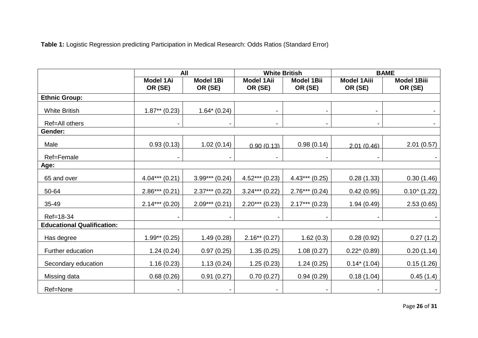**Table 1:** Logistic Regression predicting Participation in Medical Research: Odds Ratios (Standard Error)

|                                   | All                         |                             | <b>White British</b>         |                              | <b>BAME</b>                   |                               |  |
|-----------------------------------|-----------------------------|-----------------------------|------------------------------|------------------------------|-------------------------------|-------------------------------|--|
|                                   | <b>Model 1Ai</b><br>OR (SE) | <b>Model 1Bi</b><br>OR (SE) | <b>Model 1Aii</b><br>OR (SE) | <b>Model 1Bii</b><br>OR (SE) | <b>Model 1Aiii</b><br>OR (SE) | <b>Model 1Biii</b><br>OR (SE) |  |
| <b>Ethnic Group:</b>              |                             |                             |                              |                              |                               |                               |  |
| <b>White British</b>              | $1.87**$ (0.23)             | $1.64*(0.24)$               | $\blacksquare$               |                              |                               |                               |  |
| Ref=All others                    |                             |                             | $\overline{\phantom{a}}$     |                              |                               |                               |  |
| Gender:                           |                             |                             |                              |                              |                               |                               |  |
| Male                              | 0.93(0.13)                  | 1.02(0.14)                  | 0.90(0.13)                   | 0.98(0.14)                   | 2.01(0.46)                    | 2.01(0.57)                    |  |
| Ref=Female                        |                             |                             |                              |                              |                               |                               |  |
| Age:                              |                             |                             |                              |                              |                               |                               |  |
| 65 and over                       | $4.04***(0.21)$             | $3.99***$ (0.24)            | $4.52***(0.23)$              | $4.43***$ (0.25)             | 0.28(1.33)                    | 0.30(1.46)                    |  |
| 50-64                             | $2.86***(0.21)$             | $2.37***$ (0.22)            | $3.24***$ (0.22)             | $2.76***$ (0.24)             | 0.42(0.95)                    | $0.10^{(1.22)}$               |  |
| 35-49                             | $2.14***$ (0.20)            | $2.09***$ (0.21)            | $2.20***$ (0.23)             | $2.17***$ (0.23)             | 1.94(0.49)                    | 2.53(0.65)                    |  |
| Ref=18-34                         |                             |                             |                              |                              |                               |                               |  |
| <b>Educational Qualification:</b> |                             |                             |                              |                              |                               |                               |  |
| Has degree                        | $1.99**$ (0.25)             | 1.49(0.28)                  | $2.16**$ (0.27)              | 1.62(0.3)                    | 0.28(0.92)                    | 0.27(1.2)                     |  |
| Further education                 | 1.24(0.24)                  | 0.97(0.25)                  | 1.35(0.25)                   | 1.08(0.27)                   | $0.22^{\wedge} (0.89)$        | 0.20(1.14)                    |  |
| Secondary education               | 1.16(0.23)                  | 1.13(0.24)                  | 1.25(0.23)                   | 1.24(0.25)                   | $0.14*(1.04)$                 | 0.15(1.26)                    |  |
| Missing data                      | 0.68(0.26)                  | 0.91(0.27)                  | 0.70(0.27)                   | 0.94(0.29)                   | 0.18(1.04)                    | 0.45(1.4)                     |  |
| Ref=None                          | ۰.                          |                             | ۰.                           |                              | $\blacksquare$                |                               |  |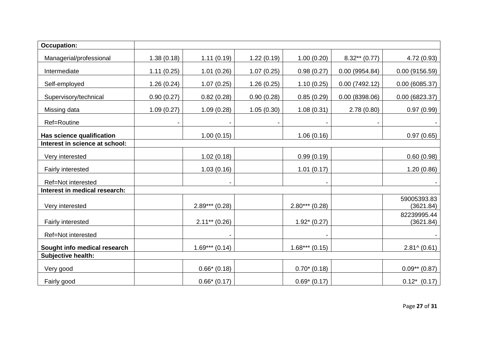| <b>Occupation:</b>             |            |                  |            |                  |                 |                          |
|--------------------------------|------------|------------------|------------|------------------|-----------------|--------------------------|
| Managerial/professional        | 1.38(0.18) | 1.11(0.19)       | 1.22(0.19) | 1.00(0.20)       | $8.32**$ (0.77) | 4.72 (0.93)              |
| Intermediate                   | 1.11(0.25) | 1.01(0.26)       | 1.07(0.25) | 0.98(0.27)       | 0.00(9954.84)   | 0.00(9156.59)            |
| Self-employed                  | 1.26(0.24) | 1.07(0.25)       | 1.26(0.25) | 1.10(0.25)       | 0.00(7492.12)   | 0.00(6085.37)            |
| Supervisory/technical          | 0.90(0.27) | 0.82(0.28)       | 0.90(0.28) | 0.85(0.29)       | 0.00(8398.06)   | 0.00(6823.37)            |
| Missing data                   | 1.09(0.27) | 1.09(0.28)       | 1.05(0.30) | 1.08(0.31)       | 2.78(0.80)      | 0.97(0.99)               |
| Ref=Routine                    |            |                  |            |                  |                 |                          |
| Has science qualification      |            | 1.00(0.15)       |            | 1.06(0.16)       |                 | 0.97(0.65)               |
| Interest in science at school: |            |                  |            |                  |                 |                          |
| Very interested                |            | 1.02(0.18)       |            | 0.99(0.19)       |                 | 0.60(0.98)               |
| Fairly interested              |            | 1.03(0.16)       |            | 1.01(0.17)       |                 | 1.20(0.86)               |
| Ref=Not interested             |            |                  |            |                  |                 |                          |
| Interest in medical research:  |            |                  |            |                  |                 |                          |
| Very interested                |            | $2.89***$ (0.28) |            | $2.80***$ (0.28) |                 | 59005393.83<br>(3621.84) |
| Fairly interested              |            | $2.11***$ (0.26) |            | $1.92*(0.27)$    |                 | 82239995.44<br>(3621.84) |
| Ref=Not interested             |            |                  |            |                  |                 |                          |
| Sought info medical research   |            | $1.69***(0.14)$  |            | $1.68***(0.15)$  |                 | $2.81^ (0.61)$           |
| Subjective health:             |            |                  |            |                  |                 |                          |
| Very good                      |            | $0.66*$ (0.18)   |            | $0.70*(0.18)$    |                 | $0.09**$ (0.87)          |
| Fairly good                    |            | $0.66*$ (0.17)   |            | $0.69*(0.17)$    |                 | $0.12^*$ (0.17)          |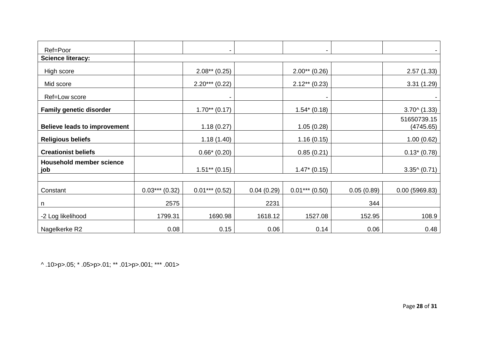| Ref=Poor                               |                 |                  |            |                  |            |                          |
|----------------------------------------|-----------------|------------------|------------|------------------|------------|--------------------------|
| <b>Science literacy:</b>               |                 |                  |            |                  |            |                          |
| High score                             |                 | $2.08**$ (0.25)  |            | $2.00**$ (0.26)  |            | 2.57(1.33)               |
| Mid score                              |                 | $2.20***$ (0.22) |            | $2.12**$ (0.23)  |            | 3.31(1.29)               |
| Ref=Low score                          |                 |                  |            |                  |            |                          |
| <b>Family genetic disorder</b>         |                 | $1.70**$ (0.17)  |            | $1.54*(0.18)$    |            | $3.700$ (1.33)           |
| <b>Believe leads to improvement</b>    |                 | 1.18(0.27)       |            | 1.05(0.28)       |            | 51650739.15<br>(4745.65) |
| <b>Religious beliefs</b>               |                 | 1.18(1.40)       |            | 1.16(0.15)       |            | 1.00(0.62)               |
| <b>Creationist beliefs</b>             |                 | $0.66* (0.20)$   |            | 0.85(0.21)       |            | $0.13*(0.78)$            |
| <b>Household member science</b><br>job |                 | $1.51***$ (0.15) |            | $1.47*(0.15)$    |            | $3.35^{\wedge} (0.71)$   |
| Constant                               | $0.03***(0.32)$ | $0.01***$ (0.52) | 0.04(0.29) | $0.01***$ (0.50) | 0.05(0.89) | 0.00(5969.83)            |
| n                                      | 2575            |                  | 2231       |                  | 344        |                          |
| -2 Log likelihood                      | 1799.31         | 1690.98          | 1618.12    | 1527.08          | 152.95     | 108.9                    |
| Nagelkerke R2                          | 0.08            | 0.15             | 0.06       | 0.14             | 0.06       | 0.48                     |

^ .10>p>.05; \* .05>p>.01; \*\* .01>p>.001; \*\*\* .001>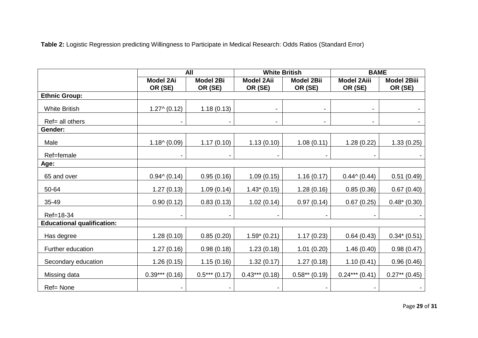**Table 2:** Logistic Regression predicting Willingness to Participate in Medical Research: Odds Ratios (Standard Error)

|                                   |                       | All                      |                   | <b>White British</b> | <b>BAME</b>              |                    |
|-----------------------------------|-----------------------|--------------------------|-------------------|----------------------|--------------------------|--------------------|
|                                   | <b>Model 2Ai</b>      | <b>Model 2Bi</b>         | <b>Model 2Aii</b> | <b>Model 2Bii</b>    | <b>Model 2Aiii</b>       | <b>Model 2Biii</b> |
|                                   | OR (SE)               | OR (SE)                  | OR (SE)           | OR (SE)              | OR (SE)                  | OR (SE)            |
| <b>Ethnic Group:</b>              |                       |                          |                   |                      |                          |                    |
| <b>White British</b>              | $1.27^ (0.12)$        | 1.18(0.13)               |                   |                      |                          |                    |
| Ref= all others                   |                       | $\overline{\phantom{a}}$ | $\blacksquare$    |                      | $\overline{\phantom{a}}$ |                    |
| Gender:                           |                       |                          |                   |                      |                          |                    |
| Male                              | $1.18^{\circ} (0.09)$ | 1.17(0.10)               | 1.13(0.10)        | 1.08(0.11)           | 1.28(0.22)               | 1.33(0.25)         |
| Ref=female                        |                       |                          | $\blacksquare$    |                      |                          |                    |
| Age:                              |                       |                          |                   |                      |                          |                    |
| 65 and over                       | $0.94 \land (0.14)$   | 0.95(0.16)               | 1.09(0.15)        | 1.16(0.17)           | $0.44 \times (0.44)$     | 0.51(0.49)         |
| 50-64                             | 1.27(0.13)            | 1.09(0.14)               | $1.43*(0.15)$     | 1.28(0.16)           | 0.85(0.36)               | 0.67(0.40)         |
| 35-49                             | 0.90(0.12)            | 0.83(0.13)               | 1.02(0.14)        | 0.97(0.14)           | 0.67(0.25)               | $0.48*(0.30)$      |
| Ref=18-34                         |                       |                          | $\blacksquare$    |                      |                          |                    |
| <b>Educational qualification:</b> |                       |                          |                   |                      |                          |                    |
| Has degree                        | 1.28(0.10)            | 0.85(0.20)               | $1.59*(0.21)$     | 1.17(0.23)           | 0.64(0.43)               | $0.34*(0.51)$      |
| Further education                 | 1.27(0.16)            | 0.98(0.18)               | 1.23(0.18)        | 1.01(0.20)           | 1.46(0.40)               | 0.98(0.47)         |
| Secondary education               | 1.26(0.15)            | 1.15(0.16)               | 1.32(0.17)        | 1.27(0.18)           | 1.10(0.41)               | 0.96(0.46)         |
| Missing data                      | $0.39***(0.16)$       | $0.5***(0.17)$           | $0.43***(0.18)$   | $0.58**$ (0.19)      | $0.24***$ (0.41)         | $0.27**$ (0.45)    |
| Ref= None                         |                       |                          |                   |                      |                          |                    |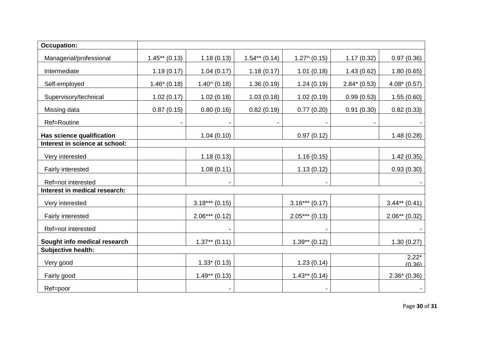| <b>Occupation:</b>             |                 |                       |                 |                 |               |                   |
|--------------------------------|-----------------|-----------------------|-----------------|-----------------|---------------|-------------------|
| Managerial/professional        | $1.45**$ (0.13) | 1.18(0.13)            | $1.54**$ (0.14) | $1.27^(0.15)$   | 1.17(0.32)    | 0.97(0.36)        |
| Intermediate                   | 1.19(0.17)      | 1.04(0.17)            | 1.18(0.17)      | 1.01(0.18)      | 1.43(0.62)    | 1.80(0.65)        |
| Self-employed                  | $1.46*(0.18)$   | $1.40^{\circ}$ (0.18) | 1.36(0.19)      | 1.24(0.19)      | $2.84*(0.53)$ | $4.08*(0.57)$     |
| Supervisory/technical          | 1.02(0.17)      | 1.02(0.18)            | 1.03(0.18)      | 1.02(0.19)      | 0.99(0.53)    | 1.55(0.60)        |
| Missing data                   | 0.87(0.15)      | 0.80(0.16)            | 0.82(0.19)      | 0.77(0.20)      | 0.91(0.30)    | 0.82(0.33)        |
| Ref=Routine                    |                 |                       |                 |                 |               |                   |
| Has science qualification      |                 | 1.04(0.10)            |                 | 0.97(0.12)      |               | 1.48(0.28)        |
| Interest in science at school: |                 |                       |                 |                 |               |                   |
| Very interested                |                 | 1.18(0.13)            |                 | 1.16(0.15)      |               | 1.42(0.35)        |
| Fairly interested              |                 | 1.08(0.11)            |                 | 1.13(0.12)      |               | 0.93(0.30)        |
| Ref=not interested             |                 |                       |                 |                 |               |                   |
| Interest in medical research:  |                 |                       |                 |                 |               |                   |
| Very interested                |                 | $3.18***$ (0.15)      |                 | $3.16***(0.17)$ |               | $3.44**$ (0.41)   |
| Fairly interested              |                 | $2.06***(0.12)$       |                 | $2.05***(0.13)$ |               | $2.06**$ (0.32)   |
| Ref=not interested             |                 |                       |                 |                 |               |                   |
| Sought info medical research   |                 | $1.37**$ (0.11)       |                 | $1.39**$ (0.12) |               | 1.30(0.27)        |
| Subjective health:             |                 |                       |                 |                 |               |                   |
| Very good                      |                 | $1.33*(0.13)$         |                 | 1.23(0.14)      |               | $2.22*$<br>(0.36) |
| Fairly good                    |                 | $1.49**$ (0.13)       |                 | $1.43**$ (0.14) |               | $2.36*(0.36)$     |
| Ref=poor                       |                 |                       |                 |                 |               |                   |